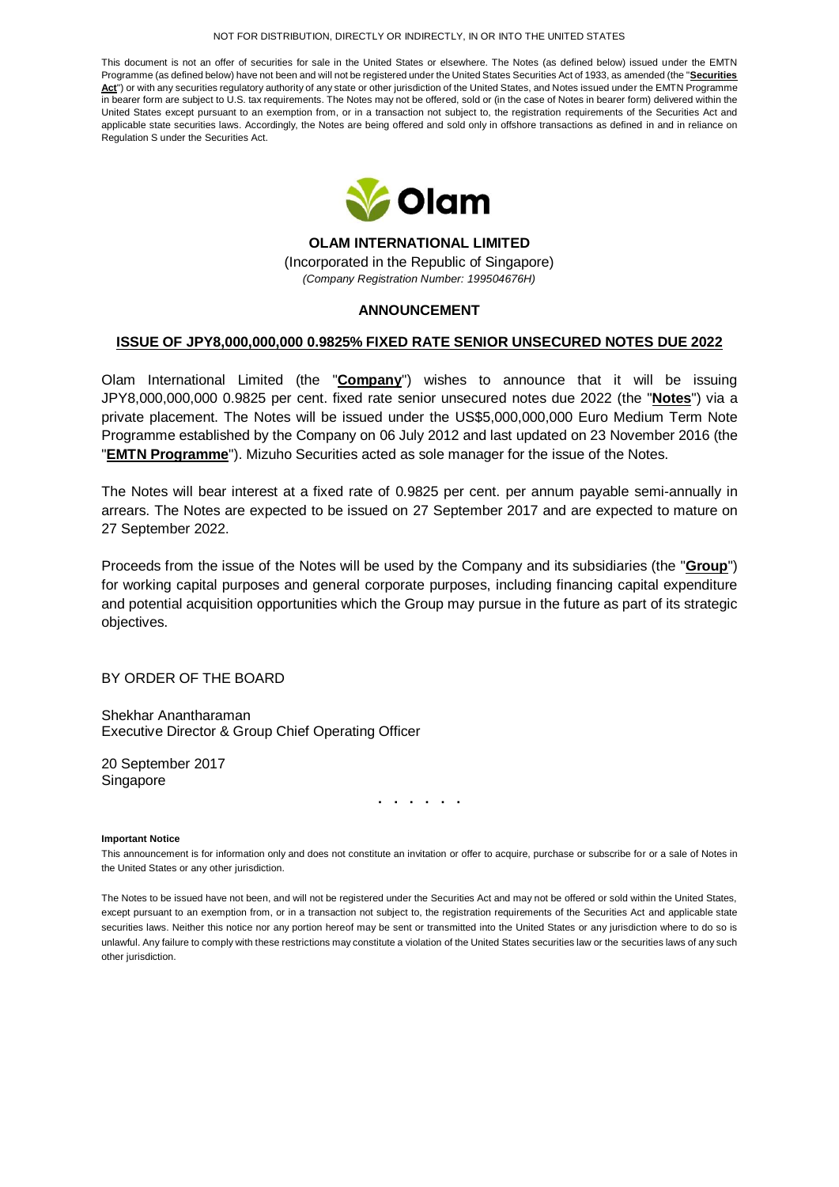#### NOT FOR DISTRIBUTION, DIRECTLY OR INDIRECTLY, IN OR INTO THE UNITED STATES

This document is not an offer of securities for sale in the United States or elsewhere. The Notes (as defined below) issued under the EMTN Programme (as defined below) have not been and will not be registered under the United States Securities Act of 1933, as amended (the "**Securities**  Act<sup>e</sup>) or with any securities regulatory authority of any state or other jurisdiction of the United States, and Notes issued under the EMTN Programme in bearer form are subject to U.S. tax requirements. The Notes may not be offered, sold or (in the case of Notes in bearer form) delivered within the United States except pursuant to an exemption from, or in a transaction not subject to, the registration requirements of the Securities Act and applicable state securities laws. Accordingly, the Notes are being offered and sold only in offshore transactions as defined in and in reliance on Regulation S under the Securities Act.



**OLAM INTERNATIONAL LIMITED** (Incorporated in the Republic of Singapore) *(Company Registration Number: 199504676H)*

### **ANNOUNCEMENT**

## **ISSUE OF JPY8,000,000,000 0.9825% FIXED RATE SENIOR UNSECURED NOTES DUE 2022**

Olam International Limited (the "**Company**") wishes to announce that it will be issuing JPY8,000,000,000 0.9825 per cent. fixed rate senior unsecured notes due 2022 (the "**Notes**") via a private placement. The Notes will be issued under the US\$5,000,000,000 Euro Medium Term Note Programme established by the Company on 06 July 2012 and last updated on 23 November 2016 (the "**EMTN Programme**"). Mizuho Securities acted as sole manager for the issue of the Notes.

The Notes will bear interest at a fixed rate of 0.9825 per cent. per annum payable semi-annually in arrears. The Notes are expected to be issued on 27 September 2017 and are expected to mature on 27 September 2022.

Proceeds from the issue of the Notes will be used by the Company and its subsidiaries (the "**Group**") for working capital purposes and general corporate purposes, including financing capital expenditure and potential acquisition opportunities which the Group may pursue in the future as part of its strategic objectives.

BY ORDER OF THE BOARD

Shekhar Anantharaman Executive Director & Group Chief Operating Officer

20 September 2017 Singapore

**. . . . . .**

#### **Important Notice**

This announcement is for information only and does not constitute an invitation or offer to acquire, purchase or subscribe for or a sale of Notes in the United States or any other jurisdiction.

The Notes to be issued have not been, and will not be registered under the Securities Act and may not be offered or sold within the United States, except pursuant to an exemption from, or in a transaction not subject to, the registration requirements of the Securities Act and applicable state securities laws. Neither this notice nor any portion hereof may be sent or transmitted into the United States or any jurisdiction where to do so is unlawful. Any failure to comply with these restrictions may constitute a violation of the United States securities law or the securities laws of any such other jurisdiction.